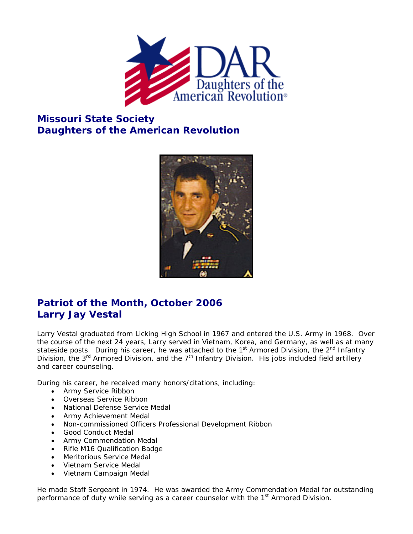

## **Missouri State Society Daughters of the American Revolution**



## **Patriot of the Month, October 2006 Larry Jay Vestal**

Larry Vestal graduated from Licking High School in 1967 and entered the U.S. Army in 1968. Over the course of the next 24 years, Larry served in Vietnam, Korea, and Germany, as well as at many stateside posts. During his career, he was attached to the  $1<sup>st</sup>$  Armored Division, the  $2<sup>nd</sup>$  Infantry Division, the  $3<sup>rd</sup>$  Armored Division, and the  $7<sup>th</sup>$  Infantry Division. His jobs included field artillery and career counseling.

During his career, he received many honors/citations, including:

- Army Service Ribbon
- Overseas Service Ribbon
- National Defense Service Medal
- Army Achievement Medal
- Non-commissioned Officers Professional Development Ribbon
- Good Conduct Medal
- Army Commendation Medal
- Rifle M16 Qualification Badge
- Meritorious Service Medal
- Vietnam Service Medal
- Vietnam Campaign Medal

He made Staff Sergeant in 1974. He was awarded the Army Commendation Medal for outstanding performance of duty while serving as a career counselor with the 1<sup>st</sup> Armored Division.